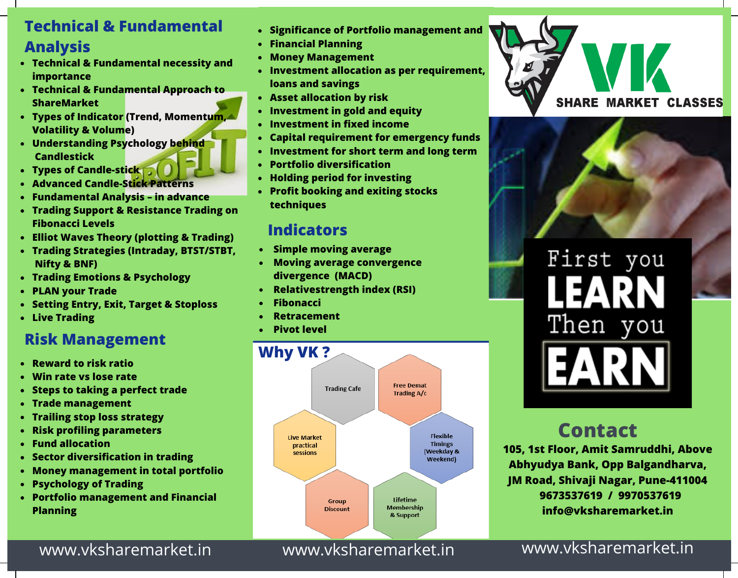#### **Technical & Fundamental Analysis**

- **Technical & Fundamental necessity and importance**
- **Technical & Fundamental Approach to ShareMarket**
- **Types of Indicator (Trend, Momentum, Volatility & Volume)**
- **Understanding Psychology behind Candlestick**
- **Types of Candle-stick**
- **Advanced Candle-Stick Patterns**
- **Fundamental Analysis – in advance**
- **Trading Support & Resistance Trading on Fibonacci Levels**
- **Elliot Waves Theory (plotting & Trading)**
- **Trading Strategies (Intraday, BTST/STBT, Nifty & BNF)**
- **Trading Emotions & Psychology**
- **PLAN your Trade**
- **Setting Entry, Exit, Target & Stoploss**
- **Live Trading**

#### **Risk Management**

- **Reward to risk ratio**
- **Win rate vs lose rate**
- **Steps to taking a perfect trade**
- **Trade management**
- **Trailing stop loss strategy**
- **Risk profiling parameters**
- **Fund allocation**
- **Sector diversification in trading**
- **Money management in total portfolio**
- **Psychology of Trading**
- **Portfolio management and Financial Planning**
- **Significance of Portfolio management and**
- **Financial Planning**
- **Money Management**
- **Investment allocation as per requirement, loans and savings**
- **Asset allocation by risk**
- **Investment in gold and equity**
- **Investment in fixed income**
- **Capital requirement for emergency funds**
- **Investment for short term and long term**
- **Portfolio diversification**
- **Holding period for investing**  $\bullet$
- **Profit booking and exiting stocks techniques**

#### **Indicators**

- **Simple moving average**
- **Moving average convergence divergence (MACD)**
- **Relativestrength index (RSI)**
- **Fibonacci**
- **Retracement**
- **Pivot level**







First you Then you

# **Contact**

**105, 1st Floor, Amit Samruddhi, Above Abhyudya Bank, Opp Balgandharva, JM Road, Shivaji Nagar, Pune-411004 9673537619 / 9970537619 info@vksharemarket.in**

www.vksharemarket.in www.vksharemarket.in www.vksharemarket.in